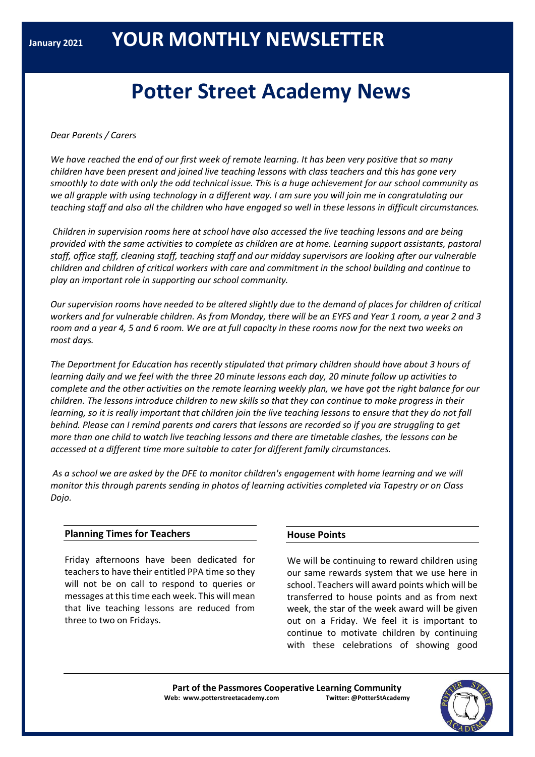# **Potter Street Academy News**

## *Dear Parents / Carers*

We have reached the end of our first week of remote learning. It has been very positive that so many *children have been present and joined live teaching lessons with class teachers and this has gone very* smoothly to date with only the odd technical issue. This is a huge achievement for our school community as we all grapple with using technology in a different way. I am sure you will join me in congratulating our teaching staff and also all the children who have engaged so well in these lessons in difficult circumstances.

*Children in supervision rooms here at school have also accessed the live teaching lessons and are being provided with the same activities to complete as children are at home. Learning support assistants, pastoral staff, office staff, cleaning staff, teaching staff and our midday supervisors are looking after our vulnerable children and children of critical workers with care and commitment in the school building and continue to play an important role in supporting our school community.*

Our supervision rooms have needed to be altered slightly due to the demand of places for children of critical workers and for vulnerable children. As from Monday, there will be an EYFS and Year 1 room, a year 2 and 3 room and a year 4, 5 and 6 room. We are at full capacity in these rooms now for the next two weeks on *most days.*

*The Department for Education has recently stipulated that primary children should have about 3 hours of* learning daily and we feel with the three 20 minute lessons each day, 20 minute follow up activities to complete and the other activities on the remote learning weekly plan, we have got the right balance for our children. The lessons introduce children to new skills so that they can continue to make progress in their learning, so it is really important that children join the live teaching lessons to ensure that they do not fall behind. Please can I remind parents and carers that lessons are recorded so if you are struggling to get more than one child to watch live teaching lessons and there are timetable clashes, the lessons can be *accessed at a different time more suitable to cater for different family circumstances.*

As a school we are asked by the DFE to monitor children's engagement with home learning and we will *monitor this through parents sending in photos of learning activities completed via Tapestry or on Class Dojo.*

### **Planning Times for Teachers**

Friday afternoons have been dedicated for teachers to have their entitled PPA time so they will not be on call to respond to queries or messages at this time each week. This will mean that live teaching lessons are reduced from three to two on Fridays.

# **House Points**

We will be continuing to reward children using our same rewards system that we use here in school. Teachers will award points which will be transferred to house points and as from next week, the star of the week award will be given out on a Friday. We feel it is important to continue to motivate children by continuing with these celebrations of showing good